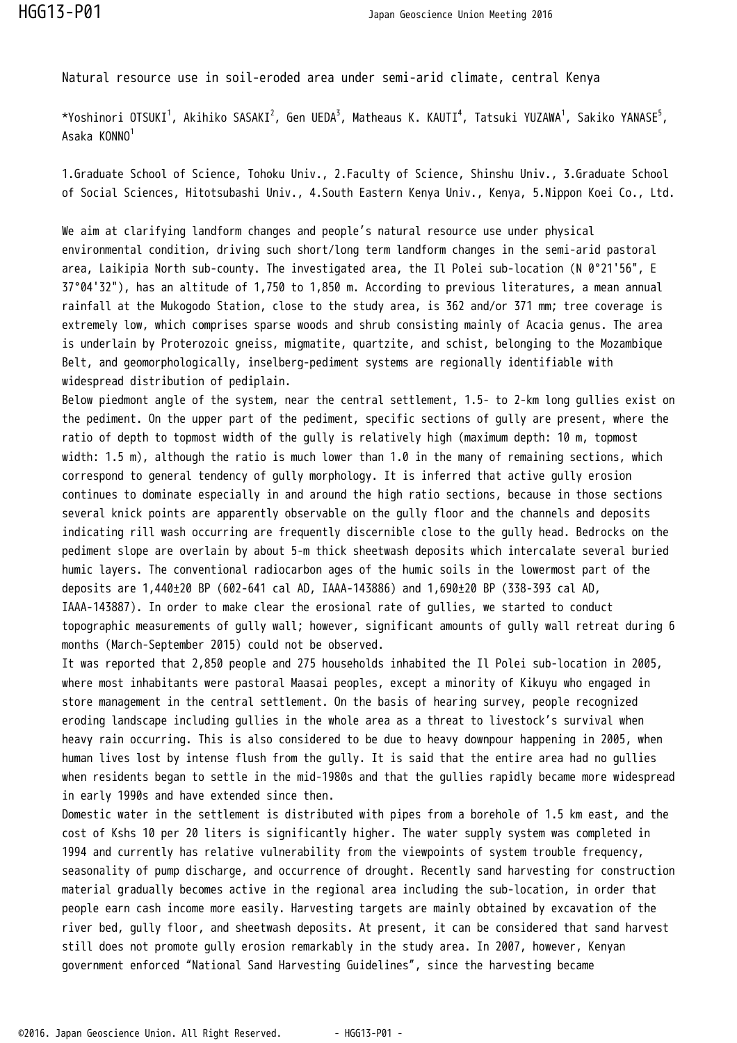Natural resource use in soil-eroded area under semi-arid climate, central Kenya

\*Yoshinori OTSUKI<sup>1</sup>, Akihiko SASAKI<sup>2</sup>, Gen UEDA<sup>3</sup>, Matheaus K. KAUTI<sup>4</sup>, Tatsuki YUZAWA<sup>1</sup>, Sakiko YANASE<sup>5</sup>, Asaka KONNO<sup>1</sup>

1.Graduate School of Science, Tohoku Univ., 2.Faculty of Science, Shinshu Univ., 3.Graduate School of Social Sciences, Hitotsubashi Univ., 4.South Eastern Kenya Univ., Kenya, 5.Nippon Koei Co., Ltd.

We aim at clarifying landform changes and people's natural resource use under physical environmental condition, driving such short/long term landform changes in the semi-arid pastoral area, Laikipia North sub-county. The investigated area, the Il Polei sub-location (N 0°21'56", E 37°04'32"), has an altitude of 1,750 to 1,850 m. According to previous literatures, a mean annual rainfall at the Mukogodo Station, close to the study area, is 362 and/or 371 mm; tree coverage is extremely low, which comprises sparse woods and shrub consisting mainly of Acacia genus. The area is underlain by Proterozoic gneiss, migmatite, quartzite, and schist, belonging to the Mozambique Belt, and geomorphologically, inselberg-pediment systems are regionally identifiable with widespread distribution of pediplain.

Below piedmont angle of the system, near the central settlement, 1.5- to 2-km long gullies exist on the pediment. On the upper part of the pediment, specific sections of gully are present, where the ratio of depth to topmost width of the gully is relatively high (maximum depth: 10 m, topmost width: 1.5 m), although the ratio is much lower than 1.0 in the many of remaining sections, which correspond to general tendency of gully morphology. It is inferred that active gully erosion continues to dominate especially in and around the high ratio sections, because in those sections several knick points are apparently observable on the gully floor and the channels and deposits indicating rill wash occurring are frequently discernible close to the gully head. Bedrocks on the pediment slope are overlain by about 5-m thick sheetwash deposits which intercalate several buried humic layers. The conventional radiocarbon ages of the humic soils in the lowermost part of the deposits are 1,440±20 BP (602-641 cal AD, IAAA-143886) and 1,690±20 BP (338-393 cal AD, IAAA-143887). In order to make clear the erosional rate of gullies, we started to conduct topographic measurements of gully wall; however, significant amounts of gully wall retreat during 6 months (March-September 2015) could not be observed.

It was reported that 2,850 people and 275 households inhabited the Il Polei sub-location in 2005, where most inhabitants were pastoral Maasai peoples, except a minority of Kikuyu who engaged in store management in the central settlement. On the basis of hearing survey, people recognized eroding landscape including gullies in the whole area as a threat to livestock's survival when heavy rain occurring. This is also considered to be due to heavy downpour happening in 2005, when human lives lost by intense flush from the gully. It is said that the entire area had no gullies when residents began to settle in the mid-1980s and that the gullies rapidly became more widespread in early 1990s and have extended since then.

Domestic water in the settlement is distributed with pipes from a borehole of 1.5 km east, and the cost of Kshs 10 per 20 liters is significantly higher. The water supply system was completed in 1994 and currently has relative vulnerability from the viewpoints of system trouble frequency, seasonality of pump discharge, and occurrence of drought. Recently sand harvesting for construction material gradually becomes active in the regional area including the sub-location, in order that people earn cash income more easily. Harvesting targets are mainly obtained by excavation of the river bed, gully floor, and sheetwash deposits. At present, it can be considered that sand harvest still does not promote gully erosion remarkably in the study area. In 2007, however, Kenyan government enforced "National Sand Harvesting Guidelines", since the harvesting became